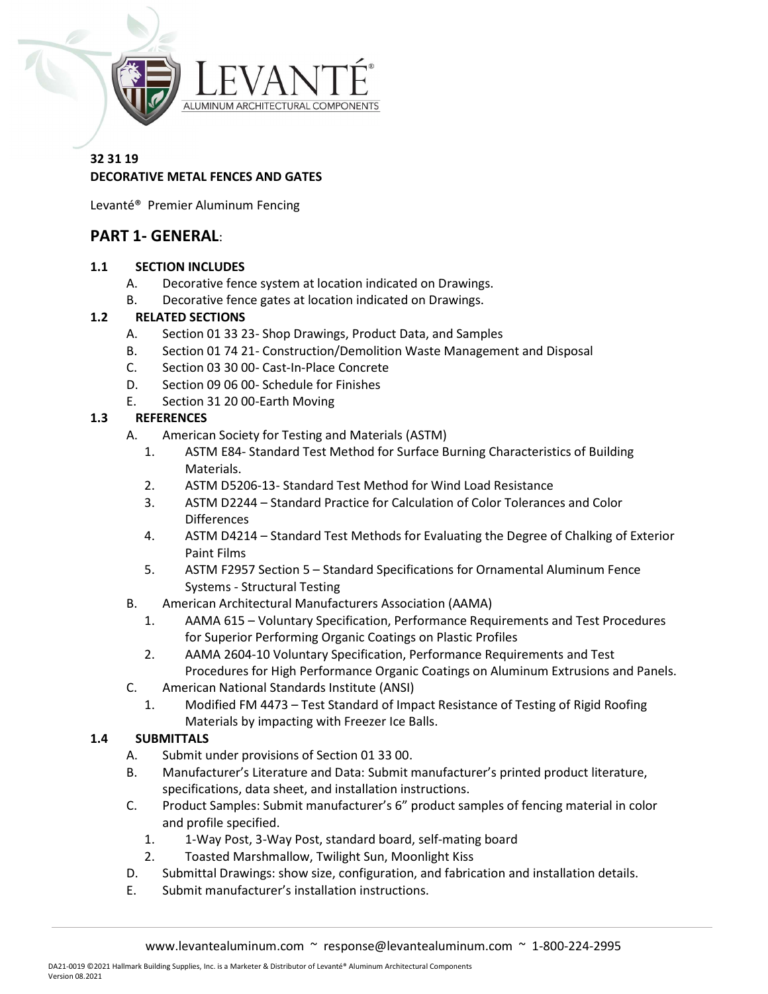

### 32 31 19 DECORATIVE METAL FENCES AND GATES

Levanté® Premier Aluminum Fencing

# PART 1- GENERAL:

#### 1.1 SECTION INCLUDES

- A. Decorative fence system at location indicated on Drawings.
- B. Decorative fence gates at location indicated on Drawings.

#### 1.2 RELATED SECTIONS

- A. Section 01 33 23- Shop Drawings, Product Data, and Samples
- B. Section 01 74 21- Construction/Demolition Waste Management and Disposal
- C. Section 03 30 00- Cast-In-Place Concrete
- D. Section 09 06 00- Schedule for Finishes
- E. Section 31 20 00-Earth Moving

### 1.3 REFERENCES

- A. American Society for Testing and Materials (ASTM)
	- 1. ASTM E84- Standard Test Method for Surface Burning Characteristics of Building Materials.
	- 2. ASTM D5206-13- Standard Test Method for Wind Load Resistance
	- 3. ASTM D2244 Standard Practice for Calculation of Color Tolerances and Color Differences
	- 4. ASTM D4214 Standard Test Methods for Evaluating the Degree of Chalking of Exterior Paint Films
	- 5. ASTM F2957 Section 5 Standard Specifications for Ornamental Aluminum Fence Systems - Structural Testing
- B. American Architectural Manufacturers Association (AAMA)
	- 1. AAMA 615 Voluntary Specification, Performance Requirements and Test Procedures for Superior Performing Organic Coatings on Plastic Profiles
	- 2. AAMA 2604-10 Voluntary Specification, Performance Requirements and Test Procedures for High Performance Organic Coatings on Aluminum Extrusions and Panels.
- C. American National Standards Institute (ANSI)
	- 1. Modified FM 4473 Test Standard of Impact Resistance of Testing of Rigid Roofing Materials by impacting with Freezer Ice Balls.

#### 1.4 SUBMITTALS

- A. Submit under provisions of Section 01 33 00.
- B. Manufacturer's Literature and Data: Submit manufacturer's printed product literature, specifications, data sheet, and installation instructions.
- C. Product Samples: Submit manufacturer's 6" product samples of fencing material in color and profile specified.
	- 1. 1-Way Post, 3-Way Post, standard board, self-mating board
	- 2. Toasted Marshmallow, Twilight Sun, Moonlight Kiss
- D. Submittal Drawings: show size, configuration, and fabrication and installation details.
- E. Submit manufacturer's installation instructions.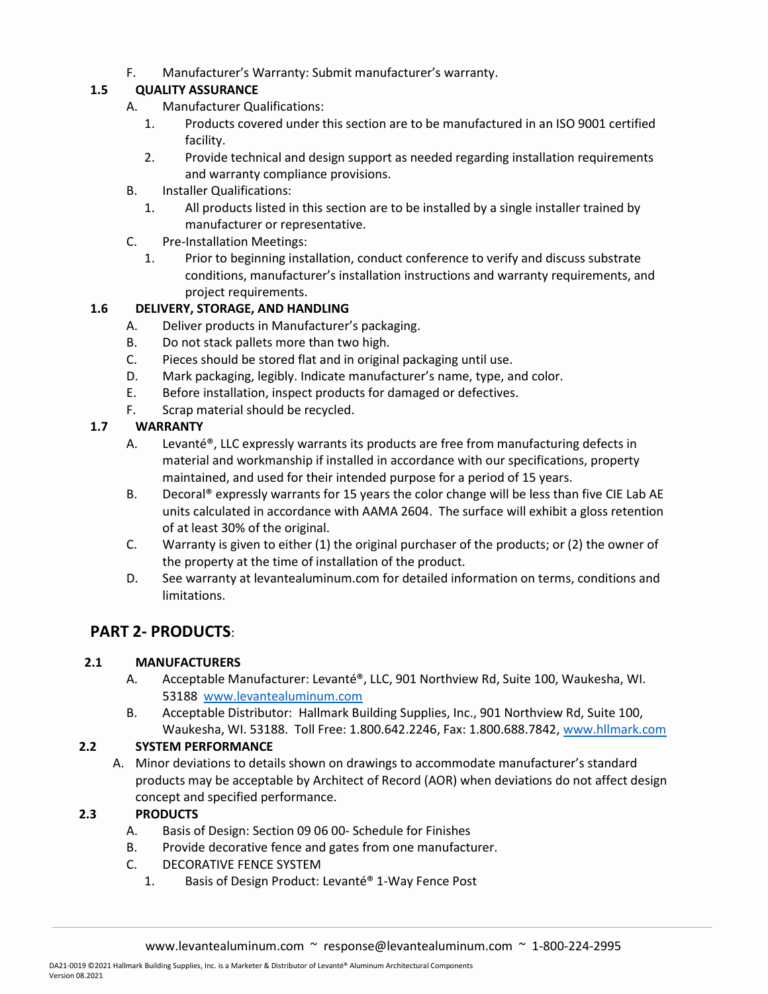F. Manufacturer's Warranty: Submit manufacturer's warranty.

## 1.5 QUALITY ASSURANCE

- A. Manufacturer Qualifications:
	- 1. Products covered under this section are to be manufactured in an ISO 9001 certified facility.
	- 2. Provide technical and design support as needed regarding installation requirements and warranty compliance provisions.
- B. Installer Qualifications:
	- 1. All products listed in this section are to be installed by a single installer trained by manufacturer or representative.
- C. Pre-Installation Meetings:
	- 1. Prior to beginning installation, conduct conference to verify and discuss substrate conditions, manufacturer's installation instructions and warranty requirements, and project requirements.

#### 1.6 DELIVERY, STORAGE, AND HANDLING

- A. Deliver products in Manufacturer's packaging.
- B. Do not stack pallets more than two high.
- C. Pieces should be stored flat and in original packaging until use.
- D. Mark packaging, legibly. Indicate manufacturer's name, type, and color.
- E. Before installation, inspect products for damaged or defectives.
- F. Scrap material should be recycled.

#### 1.7 WARRANTY

- A. Levanté®, LLC expressly warrants its products are free from manufacturing defects in material and workmanship if installed in accordance with our specifications, property maintained, and used for their intended purpose for a period of 15 years.
- B. Decoral® expressly warrants for 15 years the color change will be less than five CIE Lab AE units calculated in accordance with AAMA 2604. The surface will exhibit a gloss retention of at least 30% of the original.
- C. Warranty is given to either (1) the original purchaser of the products; or (2) the owner of the property at the time of installation of the product.
- D. See warranty at levantealuminum.com for detailed information on terms, conditions and limitations.

## PART 2- PRODUCTS:

#### 2.1 MANUFACTURERS

- A. Acceptable Manufacturer: Levanté®, LLC, 901 Northview Rd, Suite 100, Waukesha, WI. 53188 www.levantealuminum.com
- B. Acceptable Distributor: Hallmark Building Supplies, Inc., 901 Northview Rd, Suite 100, Waukesha, WI. 53188. Toll Free: 1.800.642.2246, Fax: 1.800.688.7842, www.hllmark.com

#### 2.2 SYSTEM PERFORMANCE

A. Minor deviations to details shown on drawings to accommodate manufacturer's standard products may be acceptable by Architect of Record (AOR) when deviations do not affect design concept and specified performance.

#### 2.3 PRODUCTS

- A. Basis of Design: Section 09 06 00- Schedule for Finishes
- B. Provide decorative fence and gates from one manufacturer.
- C. DECORATIVE FENCE SYSTEM
	- 1. Basis of Design Product: Levanté® 1-Way Fence Post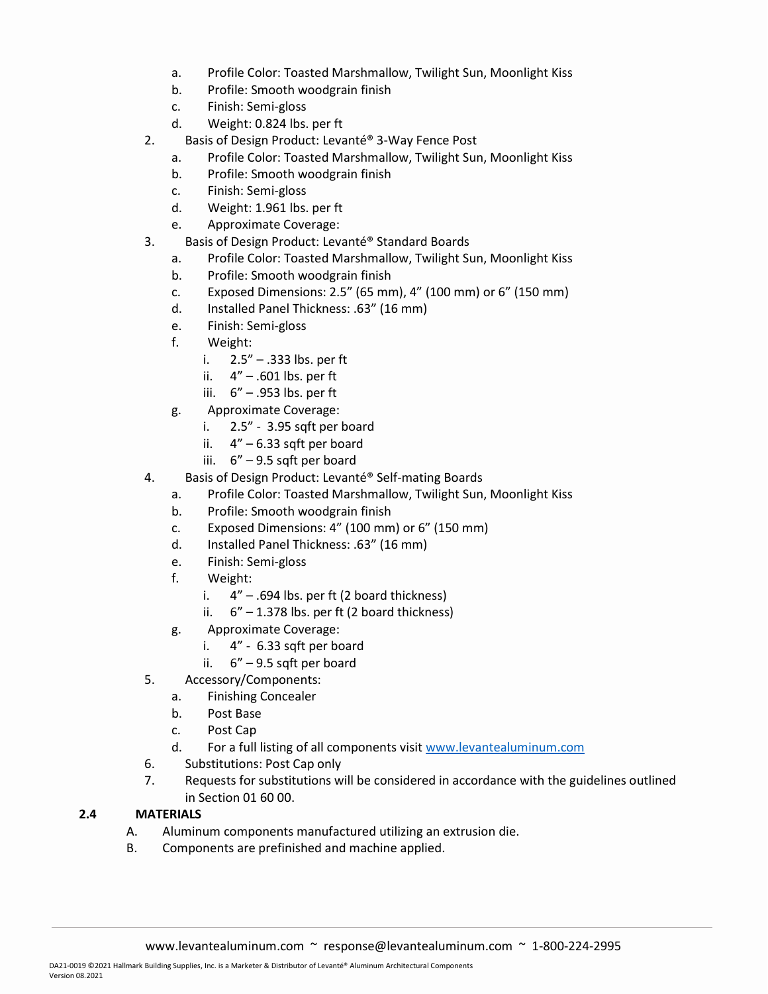- a. Profile Color: Toasted Marshmallow, Twilight Sun, Moonlight Kiss
- b. Profile: Smooth woodgrain finish
- c. Finish: Semi-gloss
- d. Weight: 0.824 lbs. per ft
- 2. Basis of Design Product: Levanté® 3-Way Fence Post
	- a. Profile Color: Toasted Marshmallow, Twilight Sun, Moonlight Kiss
		- b. Profile: Smooth woodgrain finish
		- c. Finish: Semi-gloss
		- d. Weight: 1.961 lbs. per ft
	- e. Approximate Coverage:
- 3. Basis of Design Product: Levanté® Standard Boards
	- a. Profile Color: Toasted Marshmallow, Twilight Sun, Moonlight Kiss
	- b. Profile: Smooth woodgrain finish
	- c. Exposed Dimensions: 2.5" (65 mm), 4" (100 mm) or 6" (150 mm)
	- d. Installed Panel Thickness: .63" (16 mm)
	- e. Finish: Semi-gloss
	- f. Weight:
		- i. 2.5" .333 lbs. per ft
		- ii.  $4" .601$  lbs. per ft
		- iii. 6" .953 lbs. per ft
	- g. Approximate Coverage:
		- i. 2.5" 3.95 sqft per board
		- ii.  $4'' 6.33$  sqft per board
		- iii. 6" 9.5 sqft per board
- 4. Basis of Design Product: Levanté® Self-mating Boards
	- a. Profile Color: Toasted Marshmallow, Twilight Sun, Moonlight Kiss
	- b. Profile: Smooth woodgrain finish
	- c. Exposed Dimensions: 4" (100 mm) or 6" (150 mm)
	- d. Installed Panel Thickness: .63" (16 mm)
	- e. Finish: Semi-gloss
	- f. Weight:
		- i.  $4'' .694$  lbs. per ft (2 board thickness)
		- ii.  $6'' 1.378$  lbs. per ft (2 board thickness)
	- g. Approximate Coverage:
		- i. 4" 6.33 sqft per board
		- ii. 6" 9.5 sqft per board
- 5. Accessory/Components:
	- a. Finishing Concealer
	- b. Post Base
	- c. Post Cap
	- d. For a full listing of all components visit www.levantealuminum.com
- 6. Substitutions: Post Cap only
- 7. Requests for substitutions will be considered in accordance with the guidelines outlined in Section 01 60 00.

#### 2.4 MATERIALS

- A. Aluminum components manufactured utilizing an extrusion die.
- B. Components are prefinished and machine applied.